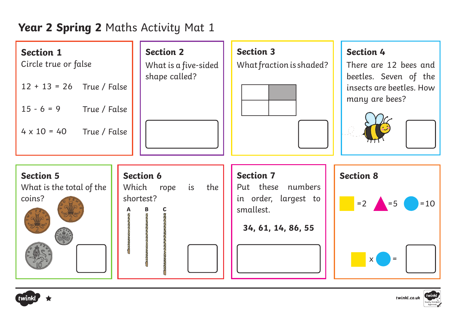# **Year 2 Spring 2** Maths Activity Mat 1

| <b>Section 1</b><br>Circle true or false<br>$12 + 13 = 26$ True / False<br>$15 - 6 = 9$ True / False<br>$4 \times 10 = 40$ True / False | <b>Section 2</b><br>What is a five-sided<br>shape called?   | <b>Section 3</b><br>What fraction is shaded?                                                     | <b>Section 4</b><br>There are 12 bees and<br>beetles. Seven of the<br>insects are beetles. How<br>many are bees? |
|-----------------------------------------------------------------------------------------------------------------------------------------|-------------------------------------------------------------|--------------------------------------------------------------------------------------------------|------------------------------------------------------------------------------------------------------------------|
| <b>Section 5</b><br>What is the total of the<br>coins?                                                                                  | <b>Section 6</b><br>Which<br>the<br>is<br>rope<br>shortest? | <b>Section 7</b><br>Put these numbers<br>in order, largest to<br>smallest.<br>34, 61, 14, 86, 55 | <b>Section 8</b><br>$= 2$ $= 5$<br>$=10$<br>$\mathsf{X}$<br>$\, =$                                               |



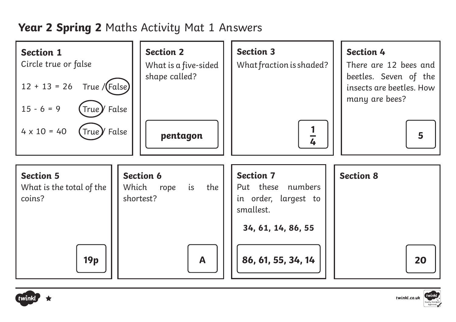## **Year 2 Spring 2** Maths Activity Mat 1 Answers





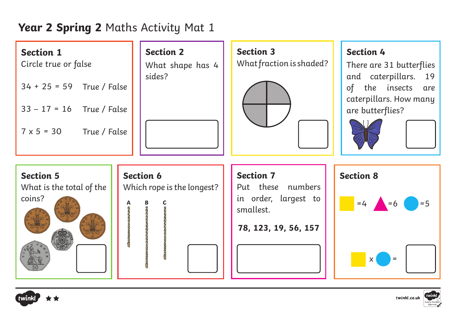# **Year 2 Spring 2** Maths Activity Mat 1

| <b>Section 1</b><br>Circle true or false<br>$34 + 25 = 59$ True / False<br>$33 - 17 = 16$ True / False<br>$7 \times 5 = 30$ True / False | <b>Section 2</b><br>What shape has 4<br>sides? | <b>Section 3</b><br>What fraction is shaded?                                                       | <b>Section 4</b><br>There are 31 butterflies<br>and caterpillars. 19<br>the insects are<br>of<br>caterpillars. How many<br>are butterflies? |
|------------------------------------------------------------------------------------------------------------------------------------------|------------------------------------------------|----------------------------------------------------------------------------------------------------|---------------------------------------------------------------------------------------------------------------------------------------------|
| <b>Section 5</b><br>What is the total of the<br>coins?                                                                                   | <b>Section 6</b><br>Which rope is the longest? | <b>Section 7</b><br>Put these numbers<br>in order, largest to<br>smallest.<br>78, 123, 19, 56, 157 | <b>Section 8</b><br>$=5$<br>$=4$ $=6$<br>$\mathsf{X}$<br>$\, =$                                                                             |



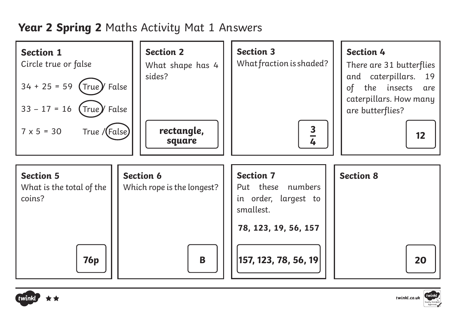# **Year 2 Spring 2** Maths Activity Mat 1 Answers





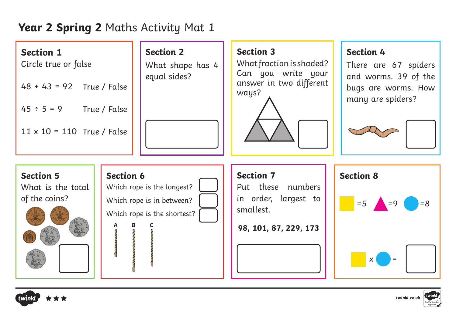## **Year 2 Spring 2** Maths Activity Mat 1

| <b>Section 1</b><br>Circle true or false |  | <b>Section 2</b><br>What shape has 4<br>equal sides? |  | Ŵ             |
|------------------------------------------|--|------------------------------------------------------|--|---------------|
| $48 + 43 = 92$ True / False              |  |                                                      |  | $\alpha$<br>W |
| True / False<br>$45 \div 5 = 9$          |  |                                                      |  |               |
| $11 \times 10 = 110$ True / False        |  |                                                      |  |               |

#### **Section 3**

What fraction is shaded? an you write your. answer in two different ways?



#### **Section 4**

There are 67 spiders and worms. 39 of the bugs are worms. How many are spiders?





| <b>Section 6</b> |                             |  |
|------------------|-----------------------------|--|
|                  | Which rope is the longest?  |  |
|                  | Which rope is in between?   |  |
|                  | Which rope is the shortest? |  |
|                  |                             |  |
|                  |                             |  |
|                  |                             |  |

ð

#### **Section 7**

Put these numbers in order, largest to smallest.

**98, 101, 87, 229, 173**